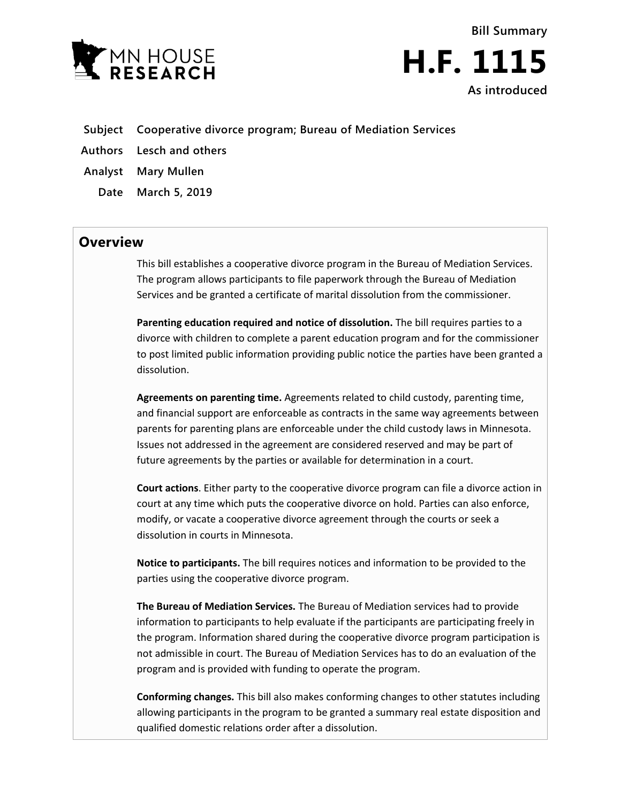



- **Subject Cooperative divorce program; Bureau of Mediation Services**
- **Authors Lesch and others**

**Analyst Mary Mullen**

**Date March 5, 2019**

## **Overview**

This bill establishes a cooperative divorce program in the Bureau of Mediation Services. The program allows participants to file paperwork through the Bureau of Mediation Services and be granted a certificate of marital dissolution from the commissioner.

**Parenting education required and notice of dissolution.** The bill requires parties to a divorce with children to complete a parent education program and for the commissioner to post limited public information providing public notice the parties have been granted a dissolution.

**Agreements on parenting time.** Agreements related to child custody, parenting time, and financial support are enforceable as contracts in the same way agreements between parents for parenting plans are enforceable under the child custody laws in Minnesota. Issues not addressed in the agreement are considered reserved and may be part of future agreements by the parties or available for determination in a court.

**Court actions**. Either party to the cooperative divorce program can file a divorce action in court at any time which puts the cooperative divorce on hold. Parties can also enforce, modify, or vacate a cooperative divorce agreement through the courts or seek a dissolution in courts in Minnesota.

**Notice to participants.** The bill requires notices and information to be provided to the parties using the cooperative divorce program.

**The Bureau of Mediation Services.** The Bureau of Mediation services had to provide information to participants to help evaluate if the participants are participating freely in the program. Information shared during the cooperative divorce program participation is not admissible in court. The Bureau of Mediation Services has to do an evaluation of the program and is provided with funding to operate the program.

**Conforming changes.** This bill also makes conforming changes to other statutes including allowing participants in the program to be granted a summary real estate disposition and qualified domestic relations order after a dissolution.